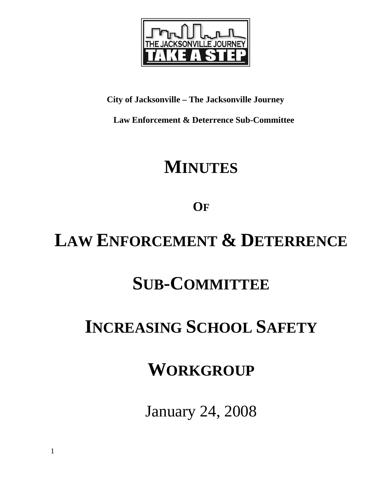

**City of Jacksonville – The Jacksonville Journey** 

 **Law Enforcement & Deterrence Sub-Committee** 

## **MINUTES**

**OF**

## **LAW ENFORCEMENT & DETERRENCE**

# **SUB-COMMITTEE**

# **INCREASING SCHOOL SAFETY**

## **WORKGROUP**

January 24, 2008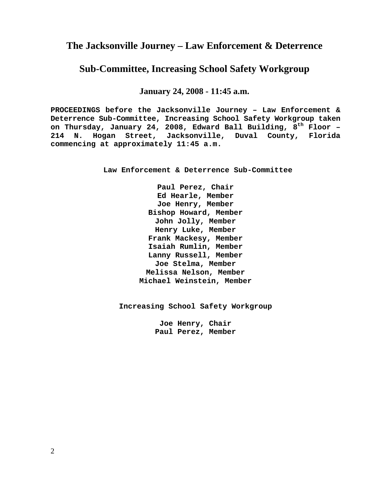### **The Jacksonville Journey – Law Enforcement & Deterrence**

### **Sub-Committee, Increasing School Safety Workgroup**

**January 24, 2008 - 11:45 a.m.**

**PROCEEDINGS before the Jacksonville Journey – Law Enforcement & Deterrence Sub-Committee, Increasing School Safety Workgroup taken on Thursday, January 24, 2008, Edward Ball Building, 8th Floor – 214 N. Hogan Street, Jacksonville, Duval County, Florida commencing at approximately 11:45 a.m.** 

**Law Enforcement & Deterrence Sub-Committee** 

**Paul Perez, Chair Ed Hearle, Member Joe Henry, Member Bishop Howard, Member John Jolly, Member Henry Luke, Member Frank Mackesy, Member Isaiah Rumlin, Member Lanny Russell, Member Joe Stelma, Member Melissa Nelson, Member Michael Weinstein, Member** 

**Increasing School Safety Workgroup** 

**Joe Henry, Chair Paul Perez, Member**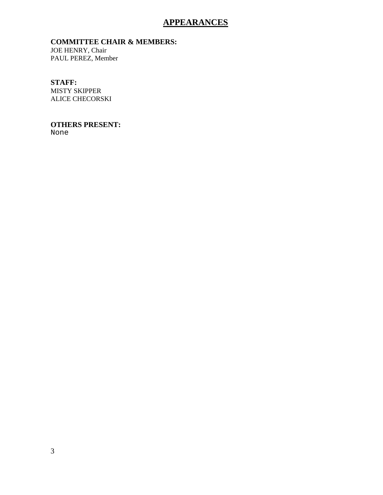### **APPEARANCES**

#### **COMMITTEE CHAIR & MEMBERS:**

JOE HENRY, Chair PAUL PEREZ, Member

#### **STAFF:**

MISTY SKIPPER ALICE CHECORSKI

#### **OTHERS PRESENT:**

None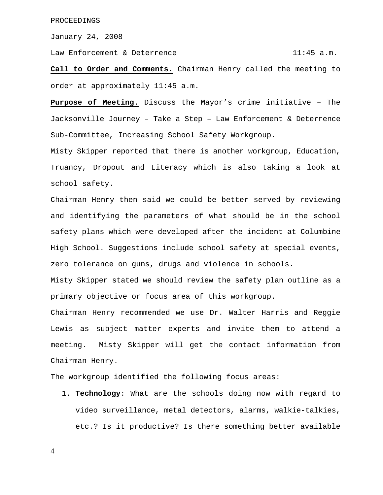January 24, 2008

Law Enforcement & Deterrence 11:45 a.m.

**Call to Order and Comments.** Chairman Henry called the meeting to order at approximately 11:45 a.m.

**Purpose of Meeting.** Discuss the Mayor's crime initiative – The Jacksonville Journey – Take a Step – Law Enforcement & Deterrence Sub-Committee, Increasing School Safety Workgroup.

Misty Skipper reported that there is another workgroup, Education, Truancy, Dropout and Literacy which is also taking a look at school safety.

Chairman Henry then said we could be better served by reviewing and identifying the parameters of what should be in the school safety plans which were developed after the incident at Columbine High School. Suggestions include school safety at special events, zero tolerance on guns, drugs and violence in schools.

Misty Skipper stated we should review the safety plan outline as a primary objective or focus area of this workgroup.

Chairman Henry recommended we use Dr. Walter Harris and Reggie Lewis as subject matter experts and invite them to attend a meeting. Misty Skipper will get the contact information from Chairman Henry.

The workgroup identified the following focus areas:

1. **Technology**: What are the schools doing now with regard to video surveillance, metal detectors, alarms, walkie-talkies, etc.? Is it productive? Is there something better available

4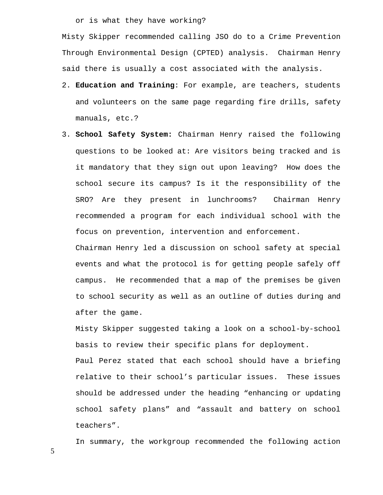or is what they have working?

Misty Skipper recommended calling JSO do to a Crime Prevention Through Environmental Design (CPTED) analysis. Chairman Henry said there is usually a cost associated with the analysis.

- 2. **Education and Training**: For example, are teachers, students and volunteers on the same page regarding fire drills, safety manuals, etc.?
- 3. **School Safety System:** Chairman Henry raised the following questions to be looked at: Are visitors being tracked and is it mandatory that they sign out upon leaving? How does the school secure its campus? Is it the responsibility of the SRO? Are they present in lunchrooms? Chairman Henry recommended a program for each individual school with the focus on prevention, intervention and enforcement.

Chairman Henry led a discussion on school safety at special events and what the protocol is for getting people safely off campus. He recommended that a map of the premises be given to school security as well as an outline of duties during and after the game.

Misty Skipper suggested taking a look on a school-by-school basis to review their specific plans for deployment.

Paul Perez stated that each school should have a briefing relative to their school's particular issues. These issues should be addressed under the heading "enhancing or updating school safety plans" and "assault and battery on school teachers".

In summary, the workgroup recommended the following action

5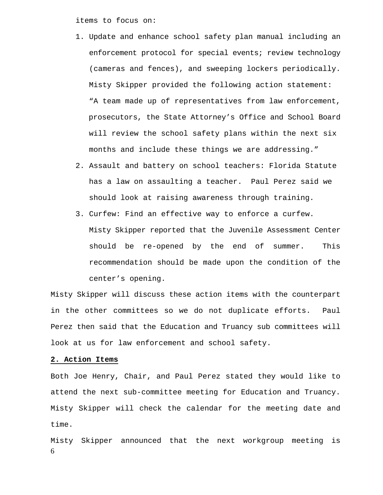items to focus on:

- 1. Update and enhance school safety plan manual including an enforcement protocol for special events; review technology (cameras and fences), and sweeping lockers periodically. Misty Skipper provided the following action statement: "A team made up of representatives from law enforcement, prosecutors, the State Attorney's Office and School Board will review the school safety plans within the next six months and include these things we are addressing."
- 2. Assault and battery on school teachers: Florida Statute has a law on assaulting a teacher. Paul Perez said we should look at raising awareness through training.
- 3. Curfew: Find an effective way to enforce a curfew. Misty Skipper reported that the Juvenile Assessment Center should be re-opened by the end of summer. This recommendation should be made upon the condition of the center's opening.

Misty Skipper will discuss these action items with the counterpart in the other committees so we do not duplicate efforts. Paul Perez then said that the Education and Truancy sub committees will look at us for law enforcement and school safety.

#### **2. Action Items**

Both Joe Henry, Chair, and Paul Perez stated they would like to attend the next sub-committee meeting for Education and Truancy. Misty Skipper will check the calendar for the meeting date and time.

6 Misty Skipper announced that the next workgroup meeting is